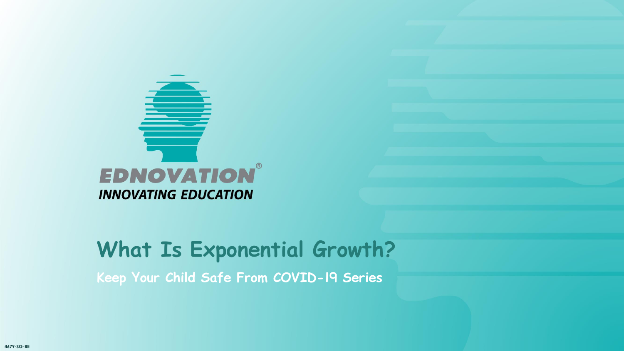

**Keep Your Child Safe From COVID-19 Series**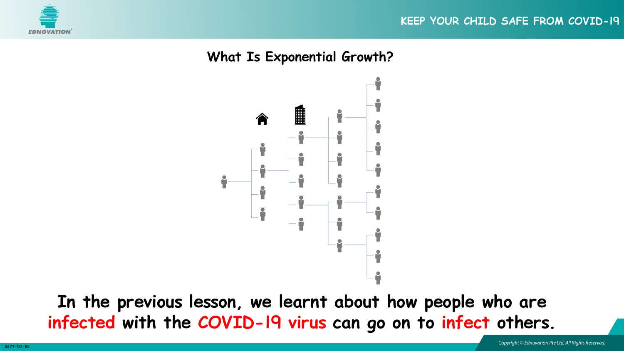



**In the previous lesson, we learnt about how people who are infected with the COVID-19 virus can go on to infect others.**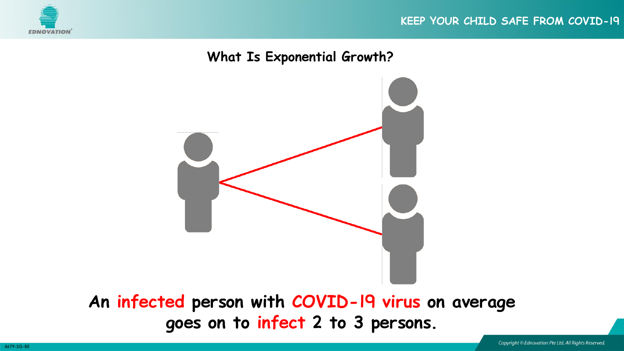



**goes on to infect 2 to 3 persons.**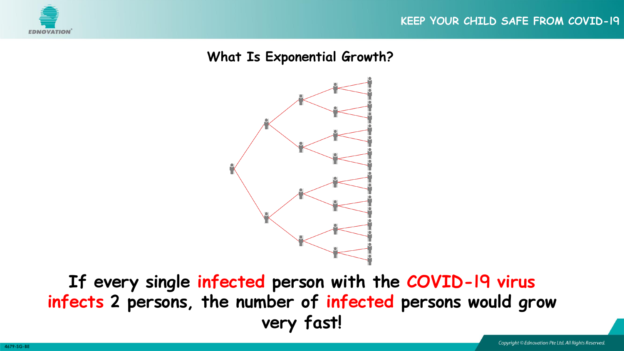



**If every single infected person with the COVID-19 virus infects 2 persons, the number of infected persons would grow very fast!**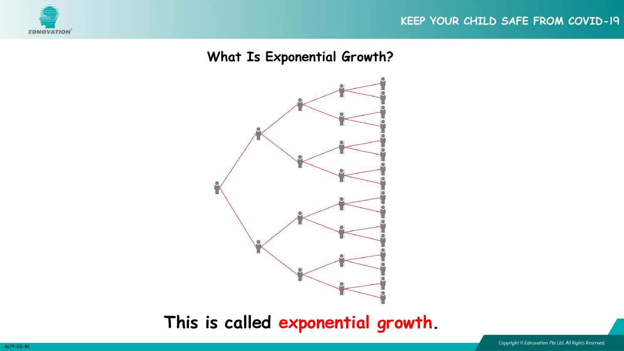#### **KEEP YOUR CHILD SAFE FROM COVID-19**



#### **What Is Exponential Growth?**



# **This is called exponential growth.**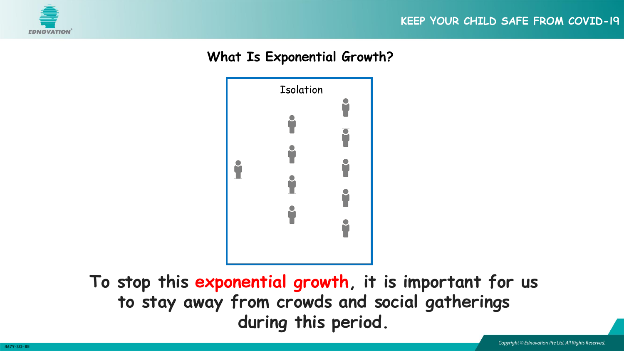



**To stop this exponential growth, it is important for us to stay away from crowds and social gatherings during this period.**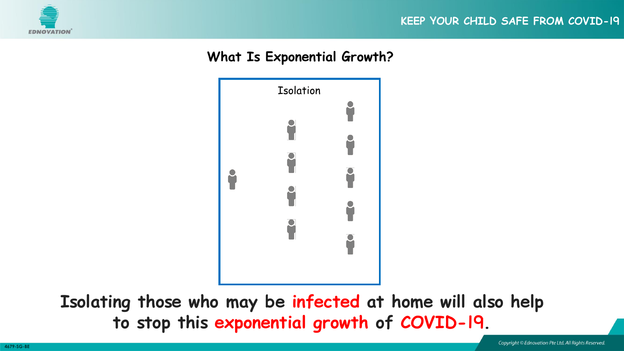



**Isolating those who may be infected at home will also help to stop this exponential growth of COVID-19.**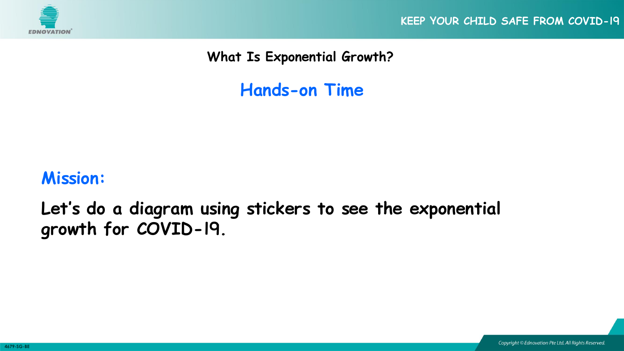

**KEEP YOUR CHILD SAFE FROM COVID-19**

**What Is Exponential Growth?**

**Hands-on Time**

# **Mission:**

**Let's do a diagram using stickers to see the exponential growth for COVID-19.**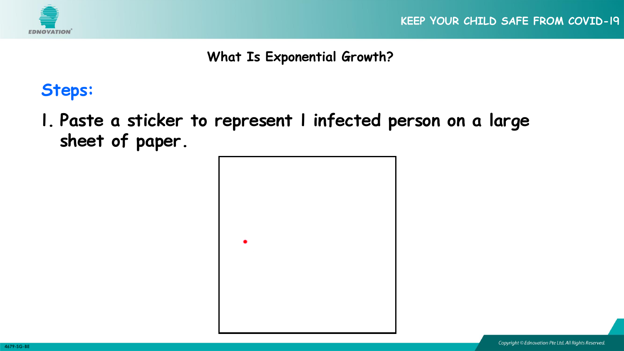

# **Steps:**

**1. Paste a sticker to represent 1 infected person on a large sheet of paper.**

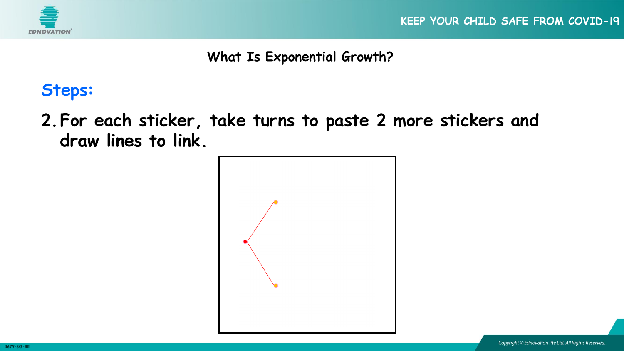

# **Steps:**

**2.For each sticker, take turns to paste 2 more stickers and draw lines to link.**